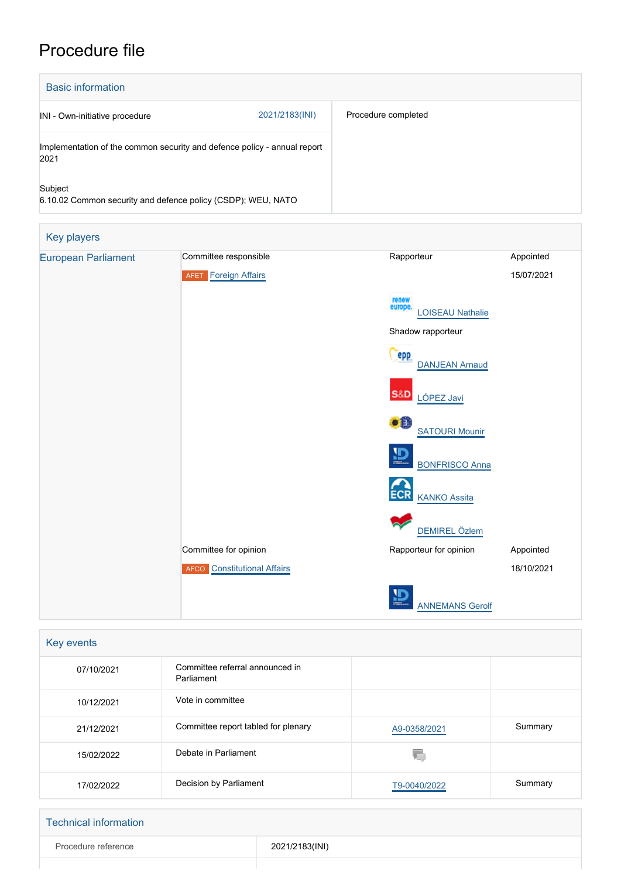# Procedure file

| <b>Basic information</b>                                                         |                |                     |
|----------------------------------------------------------------------------------|----------------|---------------------|
| INI - Own-initiative procedure                                                   | 2021/2183(INI) | Procedure completed |
| Implementation of the common security and defence policy - annual report<br>2021 |                |                     |
| Subject<br>6.10.02 Common security and defence policy (CSDP); WEU, NATO          |                |                     |

| Key players                |                                    |                                                 |            |
|----------------------------|------------------------------------|-------------------------------------------------|------------|
| <b>European Parliament</b> | Committee responsible              | Rapporteur                                      | Appointed  |
|                            | <b>AFET</b> Foreign Affairs        |                                                 | 15/07/2021 |
|                            |                                    | renew<br>europe.<br><b>LOISEAU Nathalie</b>     |            |
|                            |                                    | Shadow rapporteur                               |            |
|                            |                                    | <b>epp</b><br><b>DANJEAN Arnaud</b>             |            |
|                            |                                    | <b>S&amp;D</b><br>LÓPEZ Javi                    |            |
|                            |                                    | $\bullet$ <sup>0</sup><br><b>SATOURI Mounir</b> |            |
|                            |                                    | $\mathbf{D}$<br><b>BONFRISCO Anna</b>           |            |
|                            |                                    | <b>ECR</b><br><b>KANKO Assita</b>               |            |
|                            |                                    | DEMIREL Özlem                                   |            |
|                            | Committee for opinion              | Rapporteur for opinion                          | Appointed  |
|                            | <b>AFCO</b> Constitutional Affairs |                                                 | 18/10/2021 |
|                            |                                    | ₽<br><b>ANNEMANS Gerolf</b>                     |            |

| Key events |                                               |              |         |
|------------|-----------------------------------------------|--------------|---------|
| 07/10/2021 | Committee referral announced in<br>Parliament |              |         |
| 10/12/2021 | Vote in committee                             |              |         |
| 21/12/2021 | Committee report tabled for plenary           | A9-0358/2021 | Summary |
| 15/02/2022 | Debate in Parliament                          | Æ            |         |
| 17/02/2022 | Decision by Parliament                        | T9-0040/2022 | Summary |

| <b>Technical information</b> |                |
|------------------------------|----------------|
| Procedure reference          | 2021/2183(INI) |
|                              |                |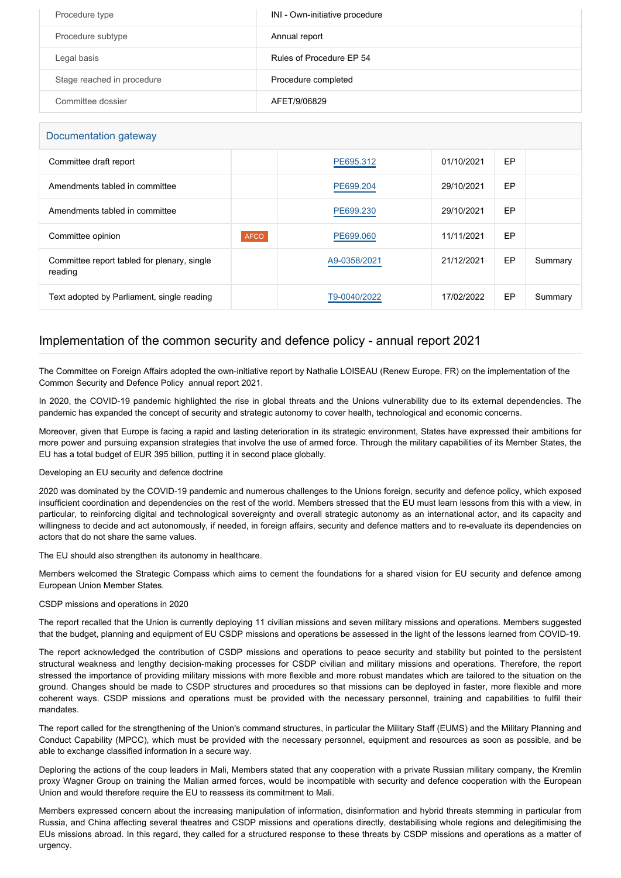| Procedure type             | INI - Own-initiative procedure |
|----------------------------|--------------------------------|
| Procedure subtype          | Annual report                  |
| Legal basis                | Rules of Procedure EP 54       |
| Stage reached in procedure | Procedure completed            |
| Committee dossier          | AFET/9/06829                   |

| Documentation gateway                                  |             |              |            |    |         |
|--------------------------------------------------------|-------------|--------------|------------|----|---------|
| Committee draft report                                 |             | PE695.312    | 01/10/2021 | EP |         |
| Amendments tabled in committee                         |             | PE699.204    | 29/10/2021 | EP |         |
| Amendments tabled in committee                         |             | PE699.230    | 29/10/2021 | EP |         |
| Committee opinion                                      | <b>AFCO</b> | PE699.060    | 11/11/2021 | EP |         |
| Committee report tabled for plenary, single<br>reading |             | A9-0358/2021 | 21/12/2021 | EP | Summary |
| Text adopted by Parliament, single reading             |             | T9-0040/2022 | 17/02/2022 | EP | Summary |

# Implementation of the common security and defence policy - annual report 2021

The Committee on Foreign Affairs adopted the own-initiative report by Nathalie LOISEAU (Renew Europe, FR) on the implementation of the Common Security and Defence Policy annual report 2021.

In 2020, the COVID-19 pandemic highlighted the rise in global threats and the Unions vulnerability due to its external dependencies. The pandemic has expanded the concept of security and strategic autonomy to cover health, technological and economic concerns.

Moreover, given that Europe is facing a rapid and lasting deterioration in its strategic environment, States have expressed their ambitions for more power and pursuing expansion strategies that involve the use of armed force. Through the military capabilities of its Member States, the EU has a total budget of EUR 395 billion, putting it in second place globally.

## Developing an EU security and defence doctrine

2020 was dominated by the COVID-19 pandemic and numerous challenges to the Unions foreign, security and defence policy, which exposed insufficient coordination and dependencies on the rest of the world. Members stressed that the EU must learn lessons from this with a view, in particular, to reinforcing digital and technological sovereignty and overall strategic autonomy as an international actor, and its capacity and willingness to decide and act autonomously, if needed, in foreign affairs, security and defence matters and to re-evaluate its dependencies on actors that do not share the same values.

The EU should also strengthen its autonomy in healthcare.

Members welcomed the Strategic Compass which aims to cement the foundations for a shared vision for EU security and defence among European Union Member States.

## CSDP missions and operations in 2020

The report recalled that the Union is currently deploying 11 civilian missions and seven military missions and operations. Members suggested that the budget, planning and equipment of EU CSDP missions and operations be assessed in the light of the lessons learned from COVID-19.

The report acknowledged the contribution of CSDP missions and operations to peace security and stability but pointed to the persistent structural weakness and lengthy decision-making processes for CSDP civilian and military missions and operations. Therefore, the report stressed the importance of providing military missions with more flexible and more robust mandates which are tailored to the situation on the ground. Changes should be made to CSDP structures and procedures so that missions can be deployed in faster, more flexible and more coherent ways. CSDP missions and operations must be provided with the necessary personnel, training and capabilities to fulfil their mandates.

The report called for the strengthening of the Union's command structures, in particular the Military Staff (EUMS) and the Military Planning and Conduct Capability (MPCC), which must be provided with the necessary personnel, equipment and resources as soon as possible, and be able to exchange classified information in a secure way.

Deploring the actions of the coup leaders in Mali, Members stated that any cooperation with a private Russian military company, the Kremlin proxy Wagner Group on training the Malian armed forces, would be incompatible with security and defence cooperation with the European Union and would therefore require the EU to reassess its commitment to Mali.

Members expressed concern about the increasing manipulation of information, disinformation and hybrid threats stemming in particular from Russia, and China affecting several theatres and CSDP missions and operations directly, destabilising whole regions and delegitimising the EUs missions abroad. In this regard, they called for a structured response to these threats by CSDP missions and operations as a matter of urgency.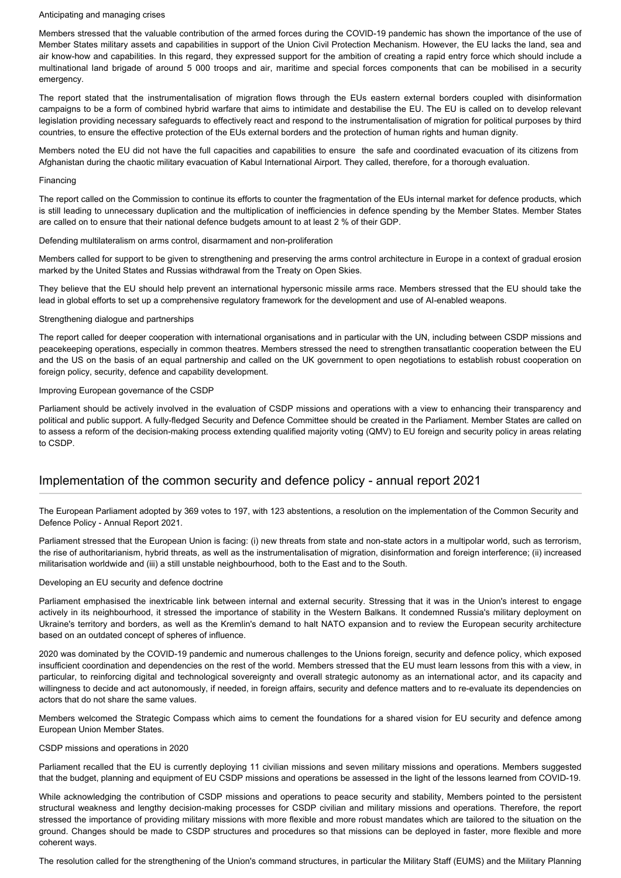#### Anticipating and managing crises

Members stressed that the valuable contribution of the armed forces during the COVID-19 pandemic has shown the importance of the use of Member States military assets and capabilities in support of the Union Civil Protection Mechanism. However, the EU lacks the land, sea and air know-how and capabilities. In this regard, they expressed support for the ambition of creating a rapid entry force which should include a multinational land brigade of around 5 000 troops and air, maritime and special forces components that can be mobilised in a security emergency.

The report stated that the instrumentalisation of migration flows through the EUs eastern external borders coupled with disinformation campaigns to be a form of combined hybrid warfare that aims to intimidate and destabilise the EU. The EU is called on to develop relevant legislation providing necessary safeguards to effectively react and respond to the instrumentalisation of migration for political purposes by third countries, to ensure the effective protection of the EUs external borders and the protection of human rights and human dignity.

Members noted the EU did not have the full capacities and capabilities to ensure the safe and coordinated evacuation of its citizens from Afghanistan during the chaotic military evacuation of Kabul International Airport. They called, therefore, for a thorough evaluation.

#### Financing

The report called on the Commission to continue its efforts to counter the fragmentation of the EUs internal market for defence products, which is still leading to unnecessary duplication and the multiplication of inefficiencies in defence spending by the Member States. Member States are called on to ensure that their national defence budgets amount to at least 2 % of their GDP.

Defending multilateralism on arms control, disarmament and non-proliferation

Members called for support to be given to strengthening and preserving the arms control architecture in Europe in a context of gradual erosion marked by the United States and Russias withdrawal from the Treaty on Open Skies.

They believe that the EU should help prevent an international hypersonic missile arms race. Members stressed that the EU should take the lead in global efforts to set up a comprehensive regulatory framework for the development and use of AI-enabled weapons.

### Strengthening dialogue and partnerships

The report called for deeper cooperation with international organisations and in particular with the UN, including between CSDP missions and peacekeeping operations, especially in common theatres. Members stressed the need to strengthen transatlantic cooperation between the EU and the US on the basis of an equal partnership and called on the UK government to open negotiations to establish robust cooperation on foreign policy, security, defence and capability development.

### Improving European governance of the CSDP

Parliament should be actively involved in the evaluation of CSDP missions and operations with a view to enhancing their transparency and political and public support. A fully-fledged Security and Defence Committee should be created in the Parliament. Member States are called on to assess a reform of the decision-making process extending qualified majority voting (QMV) to EU foreign and security policy in areas relating to CSDP.

# Implementation of the common security and defence policy - annual report 2021

The European Parliament adopted by 369 votes to 197, with 123 abstentions, a resolution on the implementation of the Common Security and Defence Policy - Annual Report 2021.

Parliament stressed that the European Union is facing: (i) new threats from state and non-state actors in a multipolar world, such as terrorism, the rise of authoritarianism, hybrid threats, as well as the instrumentalisation of migration, disinformation and foreign interference; (ii) increased militarisation worldwide and (iii) a still unstable neighbourhood, both to the East and to the South.

### Developing an EU security and defence doctrine

Parliament emphasised the inextricable link between internal and external security. Stressing that it was in the Union's interest to engage actively in its neighbourhood, it stressed the importance of stability in the Western Balkans. It condemned Russia's military deployment on Ukraine's territory and borders, as well as the Kremlin's demand to halt NATO expansion and to review the European security architecture based on an outdated concept of spheres of influence.

2020 was dominated by the COVID-19 pandemic and numerous challenges to the Unions foreign, security and defence policy, which exposed insufficient coordination and dependencies on the rest of the world. Members stressed that the EU must learn lessons from this with a view, in particular, to reinforcing digital and technological sovereignty and overall strategic autonomy as an international actor, and its capacity and willingness to decide and act autonomously, if needed, in foreign affairs, security and defence matters and to re-evaluate its dependencies on actors that do not share the same values.

Members welcomed the Strategic Compass which aims to cement the foundations for a shared vision for EU security and defence among European Union Member States.

### CSDP missions and operations in 2020

Parliament recalled that the EU is currently deploying 11 civilian missions and seven military missions and operations. Members suggested that the budget, planning and equipment of EU CSDP missions and operations be assessed in the light of the lessons learned from COVID-19.

While acknowledging the contribution of CSDP missions and operations to peace security and stability, Members pointed to the persistent structural weakness and lengthy decision-making processes for CSDP civilian and military missions and operations. Therefore, the report stressed the importance of providing military missions with more flexible and more robust mandates which are tailored to the situation on the ground. Changes should be made to CSDP structures and procedures so that missions can be deployed in faster, more flexible and more coherent ways.

The resolution called for the strengthening of the Union's command structures, in particular the Military Staff (EUMS) and the Military Planning